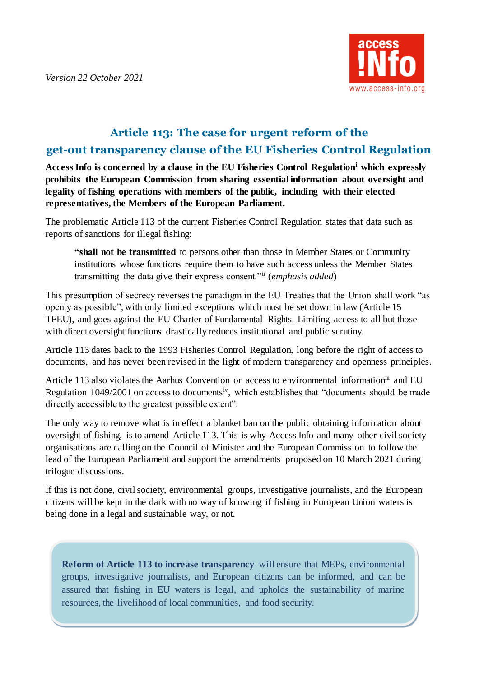

## **Article 113: The case for urgent reform of the get-out transparency clause of the EU Fisheries Control Regulation**

**Access Info is concerned by a clause in the EU Fisheries Control Regulation<sup>i</sup> which expressly prohibits the European Commission from sharing essential information about oversight and legality of fishing operations with members of the public, including with their elected representatives, the Members of the European Parliament.** 

The problematic Article 113 of the current Fisheries Control Regulation states that data such as reports of sanctions for illegal fishing:

**"shall not be transmitted** to persons other than those in Member States or Community institutions whose functions require them to have such access unless the Member States transmitting the data give their express consent."ii (*emphasis added*)

This presumption of secrecy reverses the paradigm in the EU Treaties that the Union shall work "as openly as possible", with only limited exceptions which must be set down in law (Article 15 TFEU), and goes against the EU Charter of Fundamental Rights. Limiting access to all but those with direct oversight functions drastically reduces institutional and public scrutiny.

Article 113 dates back to the 1993 Fisheries Control Regulation, long before the right of access to documents, and has never been revised in the light of modern transparency and openness principles.

Article 113 also violates the Aarhus Convention on access to environmental information<sup>iii</sup> and EU Regulation  $1049/2001$  on access to documents<sup>iv</sup>, which establishes that "documents should be made directly accessible to the greatest possible extent".

The only way to remove what is in effect a blanket ban on the public obtaining information about oversight of fishing, is to amend Article 113. This is why Access Info and many other civil society organisations are calling on the Council of Minister and the European Commission to follow the lead of the European Parliament and support the amendments proposed on 10 March 2021 during trilogue discussions.

If this is not done, civil society, environmental groups, investigative journalists, and the European citizens will be kept in the dark with no way of knowing if fishing in European Union waters is being done in a legal and sustainable way, or not.

**Reform of Article 113 to increase transparency** will ensure that MEPs, environmental groups, investigative journalists, and European citizens can be informed, and can be assured that fishing in EU waters is legal, and upholds the sustainability of marine resources, the livelihood of local communities, and food security.